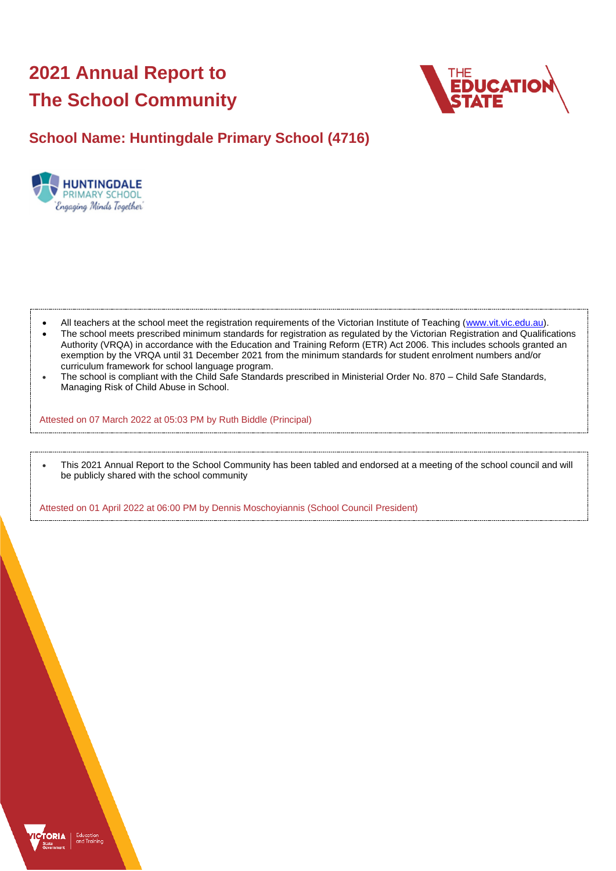# **2021 Annual Report to The School Community**



# **School Name: Huntingdale Primary School (4716)**



- All teachers at the school meet the registration requirements of the Victorian Institute of Teaching [\(www.vit.vic.edu.au\)](https://www.vit.vic.edu.au/).
- The school meets prescribed minimum standards for registration as regulated by the Victorian Registration and Qualifications Authority (VRQA) in accordance with the Education and Training Reform (ETR) Act 2006. This includes schools granted an exemption by the VRQA until 31 December 2021 from the minimum standards for student enrolment numbers and/or curriculum framework for school language program.
- The school is compliant with the Child Safe Standards prescribed in Ministerial Order No. 870 Child Safe Standards, Managing Risk of Child Abuse in School.

Attested on 07 March 2022 at 05:03 PM by Ruth Biddle (Principal)

• This 2021 Annual Report to the School Community has been tabled and endorsed at a meeting of the school council and will be publicly shared with the school community

Attested on 01 April 2022 at 06:00 PM by Dennis Moschoyiannis (School Council President)

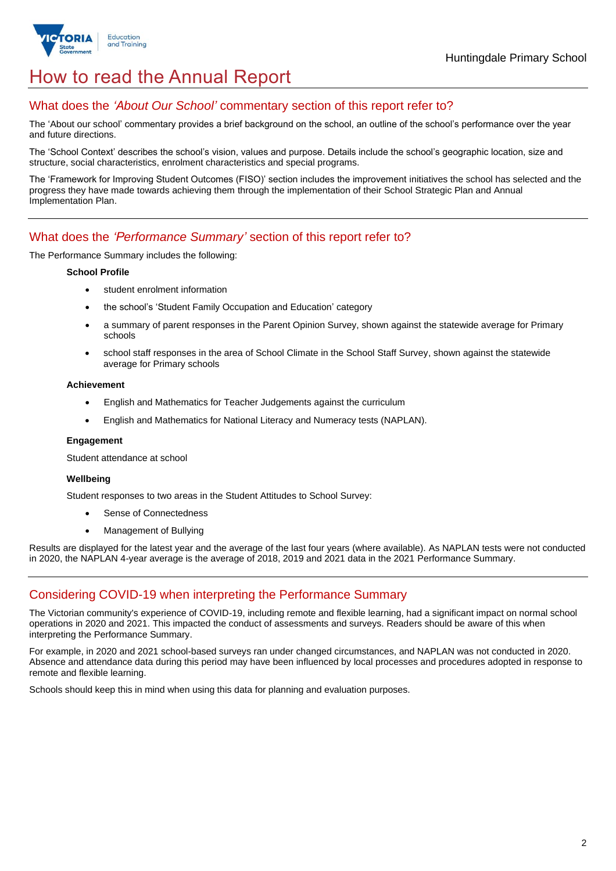

# How to read the Annual Report

## What does the *'About Our School'* commentary section of this report refer to?

The 'About our school' commentary provides a brief background on the school, an outline of the school's performance over the year and future directions.

The 'School Context' describes the school's vision, values and purpose. Details include the school's geographic location, size and structure, social characteristics, enrolment characteristics and special programs.

The 'Framework for Improving Student Outcomes (FISO)' section includes the improvement initiatives the school has selected and the progress they have made towards achieving them through the implementation of their School Strategic Plan and Annual Implementation Plan.

### What does the *'Performance Summary'* section of this report refer to?

The Performance Summary includes the following:

#### **School Profile**

- student enrolment information
- the school's 'Student Family Occupation and Education' category
- a summary of parent responses in the Parent Opinion Survey, shown against the statewide average for Primary schools
- school staff responses in the area of School Climate in the School Staff Survey, shown against the statewide average for Primary schools

#### **Achievement**

- English and Mathematics for Teacher Judgements against the curriculum
- English and Mathematics for National Literacy and Numeracy tests (NAPLAN).

### **Engagement**

Student attendance at school

### **Wellbeing**

Student responses to two areas in the Student Attitudes to School Survey:

- Sense of Connectedness
- Management of Bullying

Results are displayed for the latest year and the average of the last four years (where available). As NAPLAN tests were not conducted in 2020, the NAPLAN 4-year average is the average of 2018, 2019 and 2021 data in the 2021 Performance Summary.

## Considering COVID-19 when interpreting the Performance Summary

The Victorian community's experience of COVID-19, including remote and flexible learning, had a significant impact on normal school operations in 2020 and 2021. This impacted the conduct of assessments and surveys. Readers should be aware of this when interpreting the Performance Summary.

For example, in 2020 and 2021 school-based surveys ran under changed circumstances, and NAPLAN was not conducted in 2020. Absence and attendance data during this period may have been influenced by local processes and procedures adopted in response to remote and flexible learning.

Schools should keep this in mind when using this data for planning and evaluation purposes.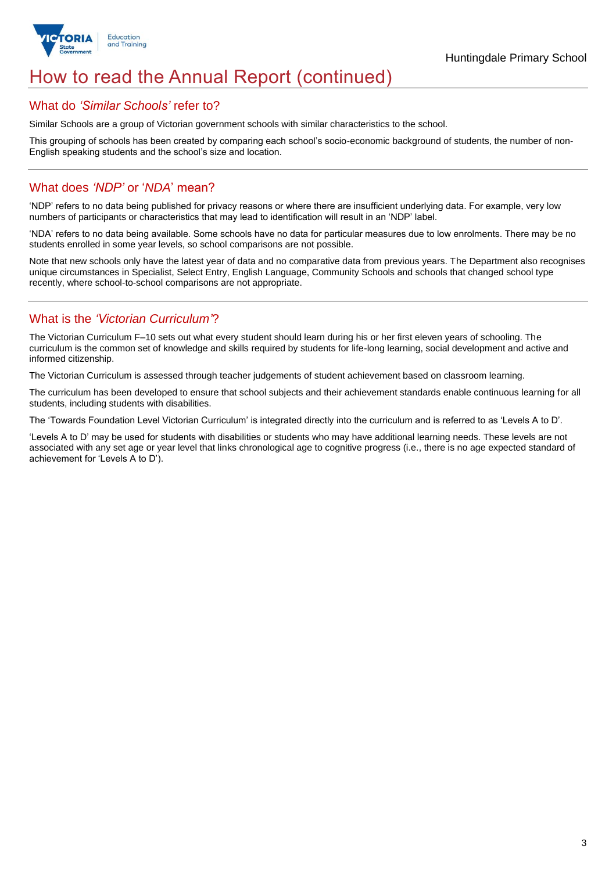

# How to read the Annual Report (continued)

### What do *'Similar Schools'* refer to?

Similar Schools are a group of Victorian government schools with similar characteristics to the school.

This grouping of schools has been created by comparing each school's socio-economic background of students, the number of non-English speaking students and the school's size and location.

## What does *'NDP'* or '*NDA*' mean?

'NDP' refers to no data being published for privacy reasons or where there are insufficient underlying data. For example, very low numbers of participants or characteristics that may lead to identification will result in an 'NDP' label.

'NDA' refers to no data being available. Some schools have no data for particular measures due to low enrolments. There may be no students enrolled in some year levels, so school comparisons are not possible.

Note that new schools only have the latest year of data and no comparative data from previous years. The Department also recognises unique circumstances in Specialist, Select Entry, English Language, Community Schools and schools that changed school type recently, where school-to-school comparisons are not appropriate.

## What is the *'Victorian Curriculum'*?

The Victorian Curriculum F–10 sets out what every student should learn during his or her first eleven years of schooling. The curriculum is the common set of knowledge and skills required by students for life-long learning, social development and active and informed citizenship.

The Victorian Curriculum is assessed through teacher judgements of student achievement based on classroom learning.

The curriculum has been developed to ensure that school subjects and their achievement standards enable continuous learning for all students, including students with disabilities.

The 'Towards Foundation Level Victorian Curriculum' is integrated directly into the curriculum and is referred to as 'Levels A to D'.

'Levels A to D' may be used for students with disabilities or students who may have additional learning needs. These levels are not associated with any set age or year level that links chronological age to cognitive progress (i.e., there is no age expected standard of achievement for 'Levels A to D').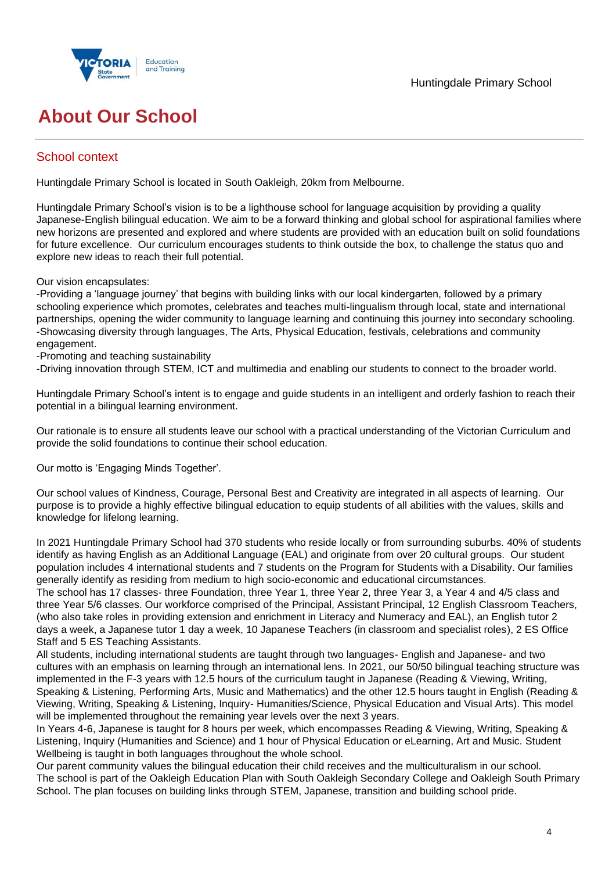

# **About Our School**

## School context

Huntingdale Primary School is located in South Oakleigh, 20km from Melbourne.

Huntingdale Primary School's vision is to be a lighthouse school for language acquisition by providing a quality Japanese-English bilingual education. We aim to be a forward thinking and global school for aspirational families where new horizons are presented and explored and where students are provided with an education built on solid foundations for future excellence. Our curriculum encourages students to think outside the box, to challenge the status quo and explore new ideas to reach their full potential.

Our vision encapsulates:

-Providing a 'language journey' that begins with building links with our local kindergarten, followed by a primary schooling experience which promotes, celebrates and teaches multi-lingualism through local, state and international partnerships, opening the wider community to language learning and continuing this journey into secondary schooling. -Showcasing diversity through languages, The Arts, Physical Education, festivals, celebrations and community engagement.

-Promoting and teaching sustainability

-Driving innovation through STEM, ICT and multimedia and enabling our students to connect to the broader world.

Huntingdale Primary School's intent is to engage and guide students in an intelligent and orderly fashion to reach their potential in a bilingual learning environment.

Our rationale is to ensure all students leave our school with a practical understanding of the Victorian Curriculum and provide the solid foundations to continue their school education.

Our motto is 'Engaging Minds Together'.

Our school values of Kindness, Courage, Personal Best and Creativity are integrated in all aspects of learning. Our purpose is to provide a highly effective bilingual education to equip students of all abilities with the values, skills and knowledge for lifelong learning.

In 2021 Huntingdale Primary School had 370 students who reside locally or from surrounding suburbs. 40% of students identify as having English as an Additional Language (EAL) and originate from over 20 cultural groups. Our student population includes 4 international students and 7 students on the Program for Students with a Disability. Our families generally identify as residing from medium to high socio-economic and educational circumstances.

The school has 17 classes- three Foundation, three Year 1, three Year 2, three Year 3, a Year 4 and 4/5 class and three Year 5/6 classes. Our workforce comprised of the Principal, Assistant Principal, 12 English Classroom Teachers, (who also take roles in providing extension and enrichment in Literacy and Numeracy and EAL), an English tutor 2 days a week, a Japanese tutor 1 day a week, 10 Japanese Teachers (in classroom and specialist roles), 2 ES Office Staff and 5 ES Teaching Assistants.

All students, including international students are taught through two languages- English and Japanese- and two cultures with an emphasis on learning through an international lens. In 2021, our 50/50 bilingual teaching structure was implemented in the F-3 years with 12.5 hours of the curriculum taught in Japanese (Reading & Viewing, Writing, Speaking & Listening, Performing Arts, Music and Mathematics) and the other 12.5 hours taught in English (Reading & Viewing, Writing, Speaking & Listening, Inquiry- Humanities/Science, Physical Education and Visual Arts). This model will be implemented throughout the remaining year levels over the next 3 years.

In Years 4-6, Japanese is taught for 8 hours per week, which encompasses Reading & Viewing, Writing, Speaking & Listening, Inquiry (Humanities and Science) and 1 hour of Physical Education or eLearning, Art and Music. Student Wellbeing is taught in both languages throughout the whole school.

Our parent community values the bilingual education their child receives and the multiculturalism in our school. The school is part of the Oakleigh Education Plan with South Oakleigh Secondary College and Oakleigh South Primary School. The plan focuses on building links through STEM, Japanese, transition and building school pride.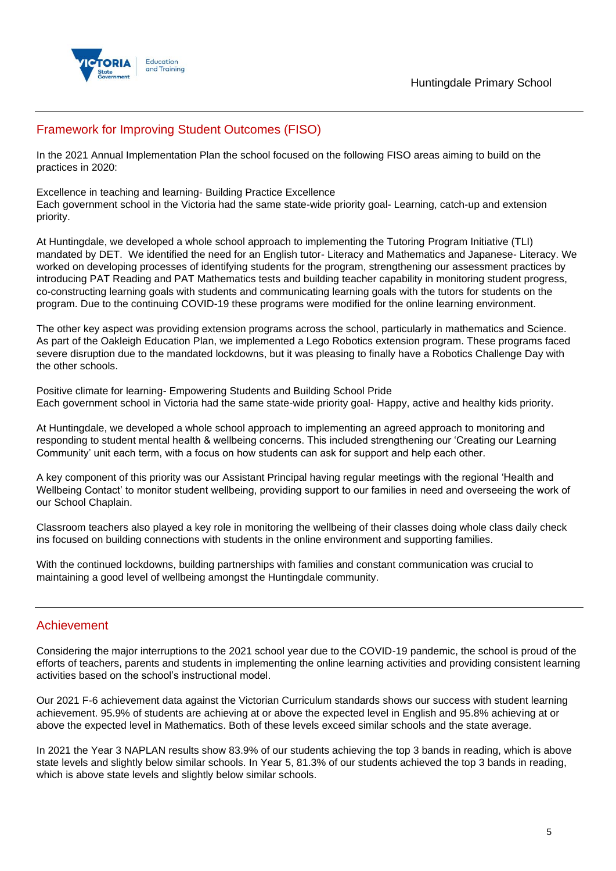

# Framework for Improving Student Outcomes (FISO)

In the 2021 Annual Implementation Plan the school focused on the following FISO areas aiming to build on the practices in 2020:

Excellence in teaching and learning- Building Practice Excellence Each government school in the Victoria had the same state-wide priority goal- Learning, catch-up and extension priority.

At Huntingdale, we developed a whole school approach to implementing the Tutoring Program Initiative (TLI) mandated by DET. We identified the need for an English tutor- Literacy and Mathematics and Japanese- Literacy. We worked on developing processes of identifying students for the program, strengthening our assessment practices by introducing PAT Reading and PAT Mathematics tests and building teacher capability in monitoring student progress, co-constructing learning goals with students and communicating learning goals with the tutors for students on the program. Due to the continuing COVID-19 these programs were modified for the online learning environment.

The other key aspect was providing extension programs across the school, particularly in mathematics and Science. As part of the Oakleigh Education Plan, we implemented a Lego Robotics extension program. These programs faced severe disruption due to the mandated lockdowns, but it was pleasing to finally have a Robotics Challenge Day with the other schools.

Positive climate for learning- Empowering Students and Building School Pride Each government school in Victoria had the same state-wide priority goal- Happy, active and healthy kids priority.

At Huntingdale, we developed a whole school approach to implementing an agreed approach to monitoring and responding to student mental health & wellbeing concerns. This included strengthening our 'Creating our Learning Community' unit each term, with a focus on how students can ask for support and help each other.

A key component of this priority was our Assistant Principal having regular meetings with the regional 'Health and Wellbeing Contact' to monitor student wellbeing, providing support to our families in need and overseeing the work of our School Chaplain.

Classroom teachers also played a key role in monitoring the wellbeing of their classes doing whole class daily check ins focused on building connections with students in the online environment and supporting families.

With the continued lockdowns, building partnerships with families and constant communication was crucial to maintaining a good level of wellbeing amongst the Huntingdale community.

### Achievement

Considering the major interruptions to the 2021 school year due to the COVID-19 pandemic, the school is proud of the efforts of teachers, parents and students in implementing the online learning activities and providing consistent learning activities based on the school's instructional model.

Our 2021 F-6 achievement data against the Victorian Curriculum standards shows our success with student learning achievement. 95.9% of students are achieving at or above the expected level in English and 95.8% achieving at or above the expected level in Mathematics. Both of these levels exceed similar schools and the state average.

In 2021 the Year 3 NAPLAN results show 83.9% of our students achieving the top 3 bands in reading, which is above state levels and slightly below similar schools. In Year 5, 81.3% of our students achieved the top 3 bands in reading, which is above state levels and slightly below similar schools.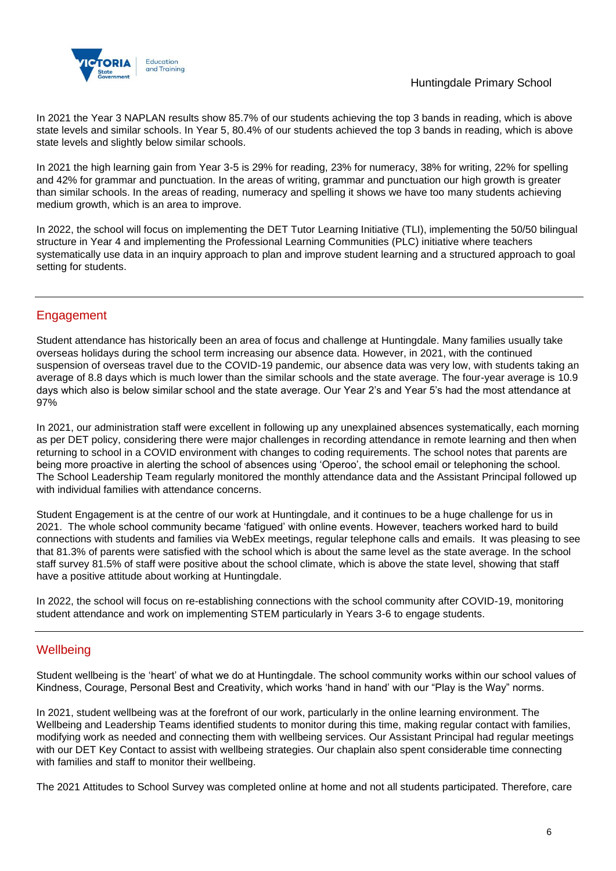

In 2021 the Year 3 NAPLAN results show 85.7% of our students achieving the top 3 bands in reading, which is above state levels and similar schools. In Year 5, 80.4% of our students achieved the top 3 bands in reading, which is above state levels and slightly below similar schools.

In 2021 the high learning gain from Year 3-5 is 29% for reading, 23% for numeracy, 38% for writing, 22% for spelling and 42% for grammar and punctuation. In the areas of writing, grammar and punctuation our high growth is greater than similar schools. In the areas of reading, numeracy and spelling it shows we have too many students achieving medium growth, which is an area to improve.

In 2022, the school will focus on implementing the DET Tutor Learning Initiative (TLI), implementing the 50/50 bilingual structure in Year 4 and implementing the Professional Learning Communities (PLC) initiative where teachers systematically use data in an inquiry approach to plan and improve student learning and a structured approach to goal setting for students.

# **Engagement**

Student attendance has historically been an area of focus and challenge at Huntingdale. Many families usually take overseas holidays during the school term increasing our absence data. However, in 2021, with the continued suspension of overseas travel due to the COVID-19 pandemic, our absence data was very low, with students taking an average of 8.8 days which is much lower than the similar schools and the state average. The four-year average is 10.9 days which also is below similar school and the state average. Our Year 2's and Year 5's had the most attendance at 97%

In 2021, our administration staff were excellent in following up any unexplained absences systematically, each morning as per DET policy, considering there were major challenges in recording attendance in remote learning and then when returning to school in a COVID environment with changes to coding requirements. The school notes that parents are being more proactive in alerting the school of absences using 'Operoo', the school email or telephoning the school. The School Leadership Team regularly monitored the monthly attendance data and the Assistant Principal followed up with individual families with attendance concerns.

Student Engagement is at the centre of our work at Huntingdale, and it continues to be a huge challenge for us in 2021. The whole school community became 'fatigued' with online events. However, teachers worked hard to build connections with students and families via WebEx meetings, regular telephone calls and emails. It was pleasing to see that 81.3% of parents were satisfied with the school which is about the same level as the state average. In the school staff survey 81.5% of staff were positive about the school climate, which is above the state level, showing that staff have a positive attitude about working at Huntingdale.

In 2022, the school will focus on re-establishing connections with the school community after COVID-19, monitoring student attendance and work on implementing STEM particularly in Years 3-6 to engage students.

## **Wellbeing**

Student wellbeing is the 'heart' of what we do at Huntingdale. The school community works within our school values of Kindness, Courage, Personal Best and Creativity, which works 'hand in hand' with our "Play is the Way" norms.

In 2021, student wellbeing was at the forefront of our work, particularly in the online learning environment. The Wellbeing and Leadership Teams identified students to monitor during this time, making regular contact with families, modifying work as needed and connecting them with wellbeing services. Our Assistant Principal had regular meetings with our DET Key Contact to assist with wellbeing strategies. Our chaplain also spent considerable time connecting with families and staff to monitor their wellbeing.

The 2021 Attitudes to School Survey was completed online at home and not all students participated. Therefore, care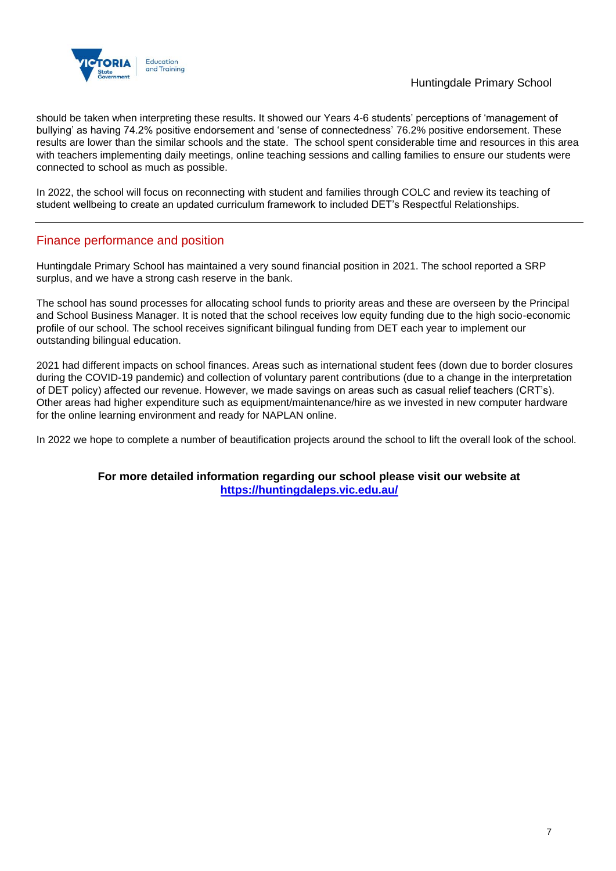

### Huntingdale Primary School

should be taken when interpreting these results. It showed our Years 4-6 students' perceptions of 'management of bullying' as having 74.2% positive endorsement and 'sense of connectedness' 76.2% positive endorsement. These results are lower than the similar schools and the state. The school spent considerable time and resources in this area with teachers implementing daily meetings, online teaching sessions and calling families to ensure our students were connected to school as much as possible.

In 2022, the school will focus on reconnecting with student and families through COLC and review its teaching of student wellbeing to create an updated curriculum framework to included DET's Respectful Relationships.

## Finance performance and position

Huntingdale Primary School has maintained a very sound financial position in 2021. The school reported a SRP surplus, and we have a strong cash reserve in the bank.

The school has sound processes for allocating school funds to priority areas and these are overseen by the Principal and School Business Manager. It is noted that the school receives low equity funding due to the high socio-economic profile of our school. The school receives significant bilingual funding from DET each year to implement our outstanding bilingual education.

2021 had different impacts on school finances. Areas such as international student fees (down due to border closures during the COVID-19 pandemic) and collection of voluntary parent contributions (due to a change in the interpretation of DET policy) affected our revenue. However, we made savings on areas such as casual relief teachers (CRT's). Other areas had higher expenditure such as equipment/maintenance/hire as we invested in new computer hardware for the online learning environment and ready for NAPLAN online.

In 2022 we hope to complete a number of beautification projects around the school to lift the overall look of the school.

### **For more detailed information regarding our school please visit our website at <https://huntingdaleps.vic.edu.au/>**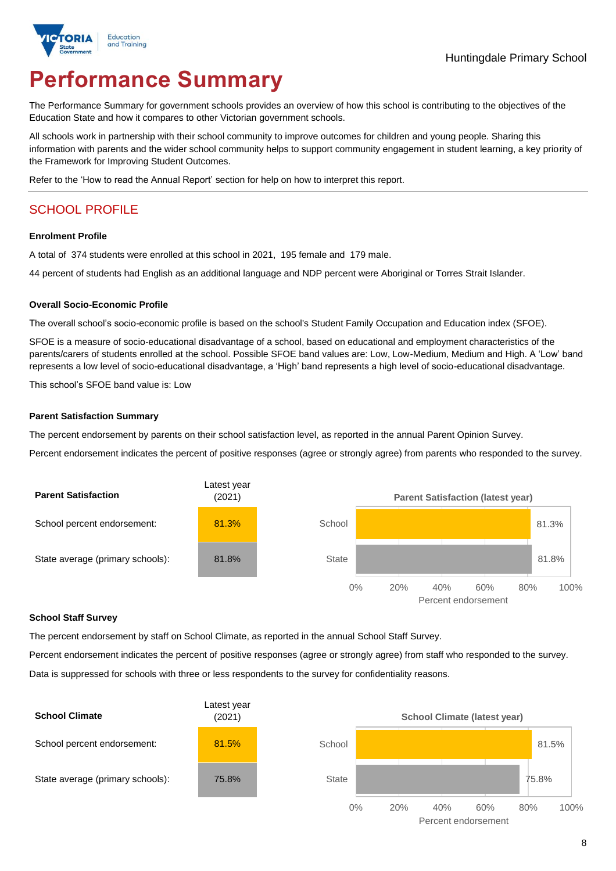

# **Performance Summary**

The Performance Summary for government schools provides an overview of how this school is contributing to the objectives of the Education State and how it compares to other Victorian government schools.

All schools work in partnership with their school community to improve outcomes for children and young people. Sharing this information with parents and the wider school community helps to support community engagement in student learning, a key priority of the Framework for Improving Student Outcomes.

Refer to the 'How to read the Annual Report' section for help on how to interpret this report.

# SCHOOL PROFILE

#### **Enrolment Profile**

A total of 374 students were enrolled at this school in 2021, 195 female and 179 male.

44 percent of students had English as an additional language and NDP percent were Aboriginal or Torres Strait Islander.

#### **Overall Socio-Economic Profile**

The overall school's socio-economic profile is based on the school's Student Family Occupation and Education index (SFOE).

SFOE is a measure of socio-educational disadvantage of a school, based on educational and employment characteristics of the parents/carers of students enrolled at the school. Possible SFOE band values are: Low, Low-Medium, Medium and High. A 'Low' band represents a low level of socio-educational disadvantage, a 'High' band represents a high level of socio-educational disadvantage.

This school's SFOE band value is: Low

### **Parent Satisfaction Summary**

The percent endorsement by parents on their school satisfaction level, as reported in the annual Parent Opinion Survey.

Percent endorsement indicates the percent of positive responses (agree or strongly agree) from parents who responded to the survey.



### **School Staff Survey**

The percent endorsement by staff on School Climate, as reported in the annual School Staff Survey.

Percent endorsement indicates the percent of positive responses (agree or strongly agree) from staff who responded to the survey. Data is suppressed for schools with three or less respondents to the survey for confidentiality reasons.

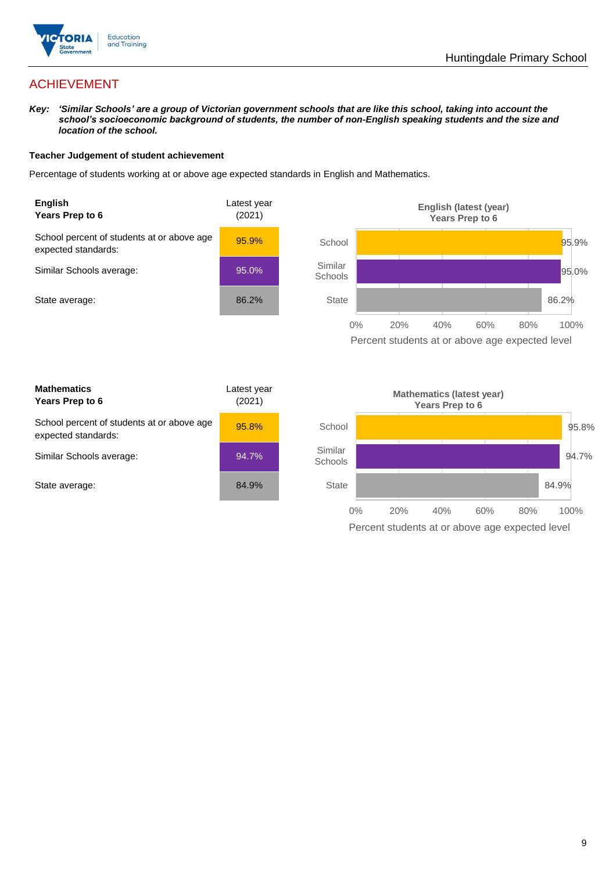

# ACHIEVEMENT

*Key: 'Similar Schools' are a group of Victorian government schools that are like this school, taking into account the school's socioeconomic background of students, the number of non-English speaking students and the size and location of the school.*

### **Teacher Judgement of student achievement**

Percentage of students working at or above age expected standards in English and Mathematics.



Percent students at or above age expected level

| <b>Mathematics</b><br>Years Prep to 6                             | Latest year<br>(2021) |
|-------------------------------------------------------------------|-----------------------|
| School percent of students at or above age<br>expected standards: | 95.8%                 |
| Similar Schools average:                                          | 94.7%                 |
| State average:                                                    | 84.9%                 |

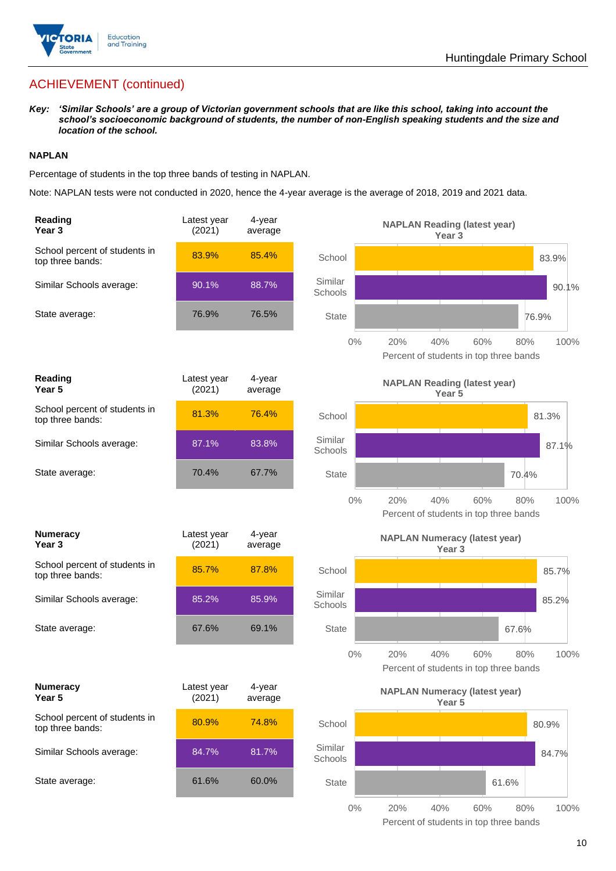

# ACHIEVEMENT (continued)

*Key: 'Similar Schools' are a group of Victorian government schools that are like this school, taking into account the school's socioeconomic background of students, the number of non-English speaking students and the size and location of the school.*

### **NAPLAN**

Percentage of students in the top three bands of testing in NAPLAN.

Note: NAPLAN tests were not conducted in 2020, hence the 4-year average is the average of 2018, 2019 and 2021 data.

| Reading<br>Year <sub>3</sub>                      | Latest year<br>(2021) | 4-year<br>average |                    | <b>NAPLAN Reading (latest year)</b><br>Year 3                              |
|---------------------------------------------------|-----------------------|-------------------|--------------------|----------------------------------------------------------------------------|
| School percent of students in<br>top three bands: | 83.9%                 | 85.4%             | School             | 83.9%                                                                      |
| Similar Schools average:                          | 90.1%                 | 88.7%             | Similar<br>Schools | 90.1%                                                                      |
| State average:                                    | 76.9%                 | 76.5%             | <b>State</b>       | 76.9%                                                                      |
|                                                   |                       |                   | $0\%$              | 20%<br>40%<br>60%<br>100%<br>80%<br>Percent of students in top three bands |
| Reading<br>Year <sub>5</sub>                      | Latest year<br>(2021) | 4-year<br>average |                    | <b>NAPLAN Reading (latest year)</b><br>Year <sub>5</sub>                   |
| School percent of students in<br>top three bands: | 81.3%                 | 76.4%             | School             | 81.3%                                                                      |
| Similar Schools average:                          | 87.1%                 | 83.8%             | Similar<br>Schools | 87.1%                                                                      |
| State average:                                    | 70.4%                 | 67.7%             | <b>State</b>       | 70.4%                                                                      |
|                                                   |                       |                   | $0\%$              | 20%<br>40%<br>60%<br>80%<br>100%<br>Percent of students in top three bands |
| <b>Numeracy</b><br>Year <sub>3</sub>              | Latest year<br>(2021) | 4-year<br>average |                    | <b>NAPLAN Numeracy (latest year)</b><br>Year <sub>3</sub>                  |
| School percent of students in<br>top three bands: | 85.7%                 | 87.8%             | School             | 85.7%                                                                      |
| Similar Schools average:                          | 85.2%                 | 85.9%             | Similar<br>Schools | 85.2%                                                                      |
| State average:                                    | 67.6%                 | 69.1%             | <b>State</b>       | 67.6%                                                                      |
|                                                   |                       |                   | 0%                 | 20%<br>40%<br>60%<br>80%<br>100%<br>Percent of students in top three bands |
| <b>Numeracy</b><br>Year 5                         | Latest year<br>(2021) | 4-year<br>average |                    | <b>NAPLAN Numeracy (latest year)</b><br>Year 5                             |
| School percent of students in<br>top three bands: | 80.9%                 | 74.8%             | School             | 80.9%                                                                      |
| Similar Schools average:                          | 84.7%                 | 81.7%             | Similar<br>Schools | 84.7%                                                                      |
| State average:                                    | 61.6%                 | 60.0%             | <b>State</b>       | 61.6%                                                                      |
|                                                   |                       |                   | $0\%$              | 20%<br>40%<br>60%<br>80%<br>100%                                           |

Percent of students in top three bands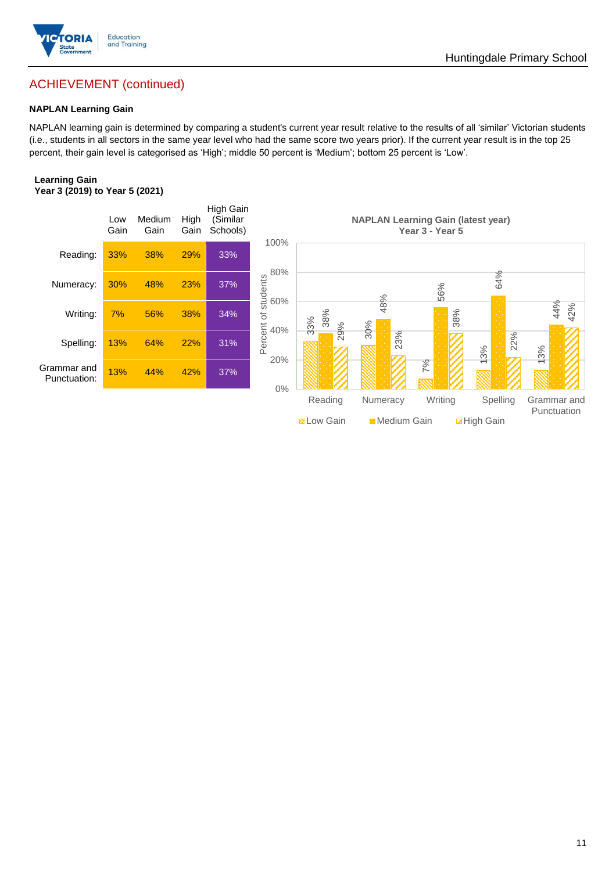

# ACHIEVEMENT (continued)

### **NAPLAN Learning Gain**

NAPLAN learning gain is determined by comparing a student's current year result relative to the results of all 'similar' Victorian students (i.e., students in all sectors in the same year level who had the same score two years prior). If the current year result is in the top 25 percent, their gain level is categorised as 'High'; middle 50 percent is 'Medium'; bottom 25 percent is 'Low'.

### **Learning Gain Year 3 (2019) to Year 5 (2021)**



**BLow Gain** Medium Gain **Example 10**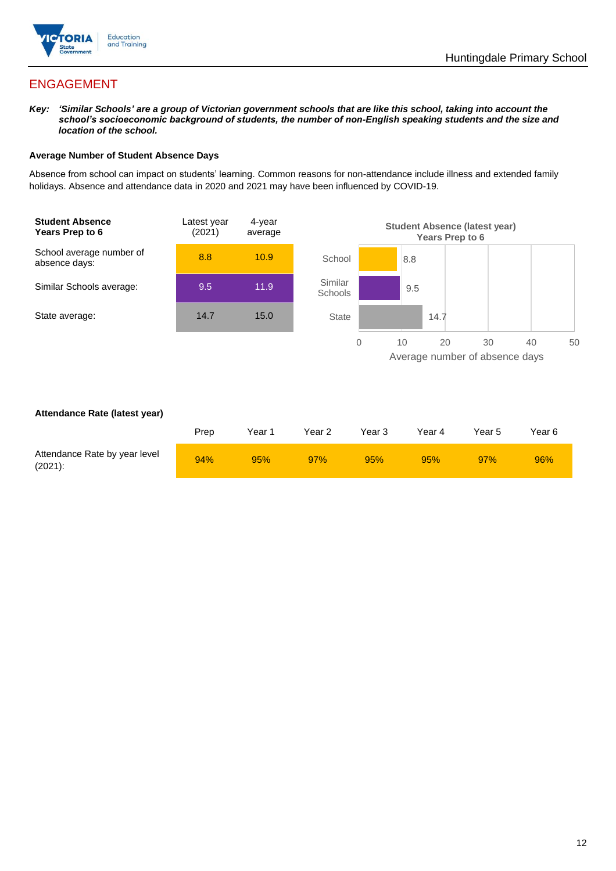

# ENGAGEMENT

*Key: 'Similar Schools' are a group of Victorian government schools that are like this school, taking into account the school's socioeconomic background of students, the number of non-English speaking students and the size and location of the school.*

### **Average Number of Student Absence Days**

Absence from school can impact on students' learning. Common reasons for non-attendance include illness and extended family holidays. Absence and attendance data in 2020 and 2021 may have been influenced by COVID-19.



### **Attendance Rate (latest year)**

|                                             | Prep | Year 1 | Year 2 | Year 3 | Year 4 | Year 5 | Year 6 |
|---------------------------------------------|------|--------|--------|--------|--------|--------|--------|
| Attendance Rate by year level<br>$(2021)$ : | 94%  | 95%    | 97%    | 95%    | 95%    | 97%    | 96%    |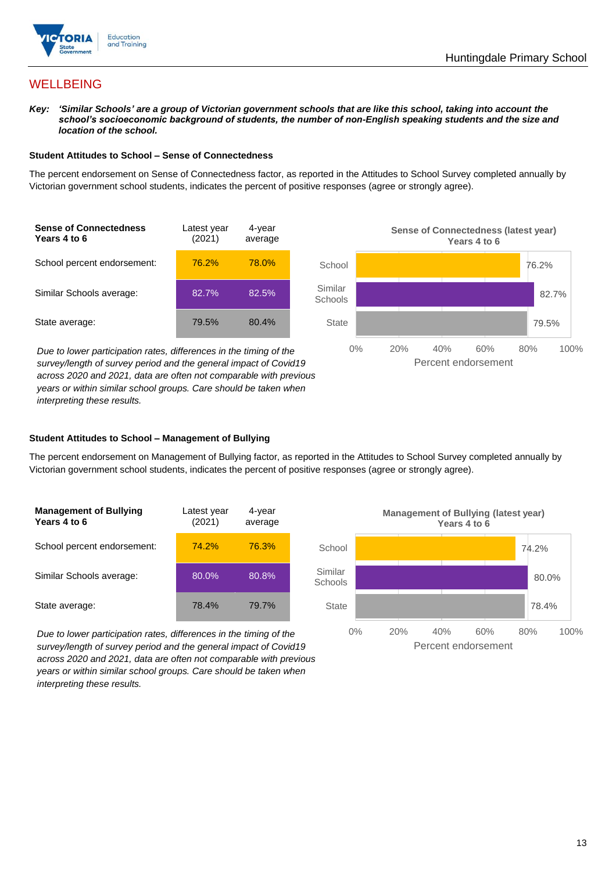

## **WELLBEING**

*Key: 'Similar Schools' are a group of Victorian government schools that are like this school, taking into account the school's socioeconomic background of students, the number of non-English speaking students and the size and location of the school.*

### **Student Attitudes to School – Sense of Connectedness**

The percent endorsement on Sense of Connectedness factor, as reported in the Attitudes to School Survey completed annually by Victorian government school students, indicates the percent of positive responses (agree or strongly agree).



*Due to lower participation rates, differences in the timing of the survey/length of survey period and the general impact of Covid19 across 2020 and 2021, data are often not comparable with previous years or within similar school groups. Care should be taken when interpreting these results.*



### **Student Attitudes to School – Management of Bullying**

The percent endorsement on Management of Bullying factor, as reported in the Attitudes to School Survey completed annually by Victorian government school students, indicates the percent of positive responses (agree or strongly agree).

| <b>Management of Bullying</b><br>Years 4 to 6 | Latest year<br>(2021) | 4-year<br>average |  |
|-----------------------------------------------|-----------------------|-------------------|--|
| School percent endorsement:                   | 74.2%                 | 76.3%             |  |
| Similar Schools average:                      | 80.0%                 | 80.8%             |  |
| State average:                                | 78.4%                 | 79.7%             |  |

*Due to lower participation rates, differences in the timing of the survey/length of survey period and the general impact of Covid19 across 2020 and 2021, data are often not comparable with previous years or within similar school groups. Care should be taken when interpreting these results.*

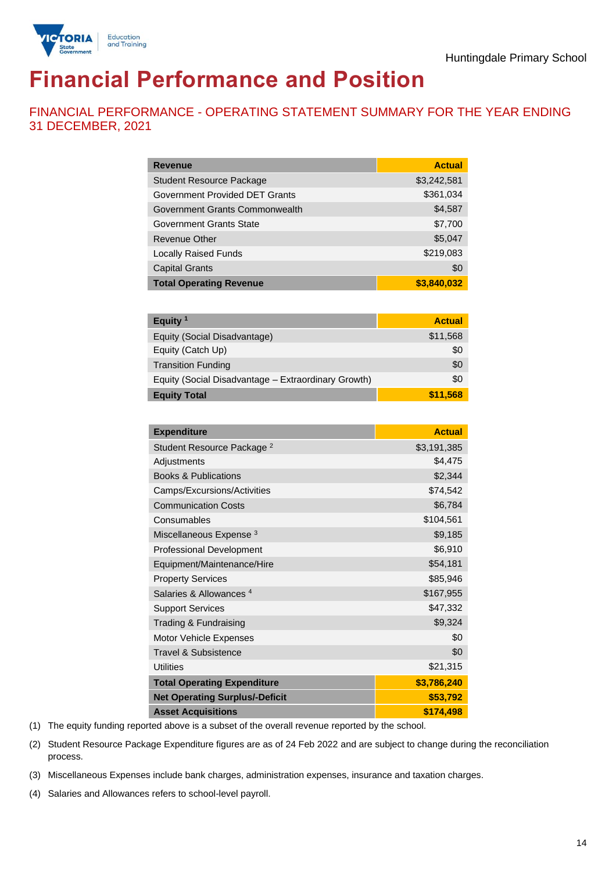

# **Financial Performance and Position**

FINANCIAL PERFORMANCE - OPERATING STATEMENT SUMMARY FOR THE YEAR ENDING 31 DECEMBER, 2021

| <b>Revenue</b>                  | <b>Actual</b> |
|---------------------------------|---------------|
| <b>Student Resource Package</b> | \$3,242,581   |
| Government Provided DET Grants  | \$361,034     |
| Government Grants Commonwealth  | \$4,587       |
| Government Grants State         | \$7,700       |
| <b>Revenue Other</b>            | \$5,047       |
| <b>Locally Raised Funds</b>     | \$219,083     |
| <b>Capital Grants</b>           | \$0           |
| <b>Total Operating Revenue</b>  | \$3,840,032   |

| Equity $1$                                          | <b>Actual</b> |
|-----------------------------------------------------|---------------|
| Equity (Social Disadvantage)                        | \$11,568      |
| Equity (Catch Up)                                   | \$0           |
| <b>Transition Funding</b>                           | \$0           |
| Equity (Social Disadvantage - Extraordinary Growth) | \$0           |
| <b>Equity Total</b>                                 | \$11.568      |

| <b>Expenditure</b>                    | <b>Actual</b> |
|---------------------------------------|---------------|
| Student Resource Package <sup>2</sup> | \$3,191,385   |
| Adjustments                           | \$4,475       |
| <b>Books &amp; Publications</b>       | \$2,344       |
| Camps/Excursions/Activities           | \$74,542      |
| <b>Communication Costs</b>            | \$6,784       |
| Consumables                           | \$104,561     |
| Miscellaneous Expense <sup>3</sup>    | \$9,185       |
| <b>Professional Development</b>       | \$6,910       |
| Equipment/Maintenance/Hire            | \$54,181      |
| <b>Property Services</b>              | \$85,946      |
| Salaries & Allowances <sup>4</sup>    | \$167,955     |
| <b>Support Services</b>               | \$47,332      |
| Trading & Fundraising                 | \$9,324       |
| Motor Vehicle Expenses                | \$0           |
| Travel & Subsistence                  | \$0           |
| <b>Utilities</b>                      | \$21,315      |
| <b>Total Operating Expenditure</b>    | \$3,786,240   |
| <b>Net Operating Surplus/-Deficit</b> | \$53,792      |
| <b>Asset Acquisitions</b>             | \$174,498     |

(1) The equity funding reported above is a subset of the overall revenue reported by the school.

(2) Student Resource Package Expenditure figures are as of 24 Feb 2022 and are subject to change during the reconciliation process.

(3) Miscellaneous Expenses include bank charges, administration expenses, insurance and taxation charges.

(4) Salaries and Allowances refers to school-level payroll.